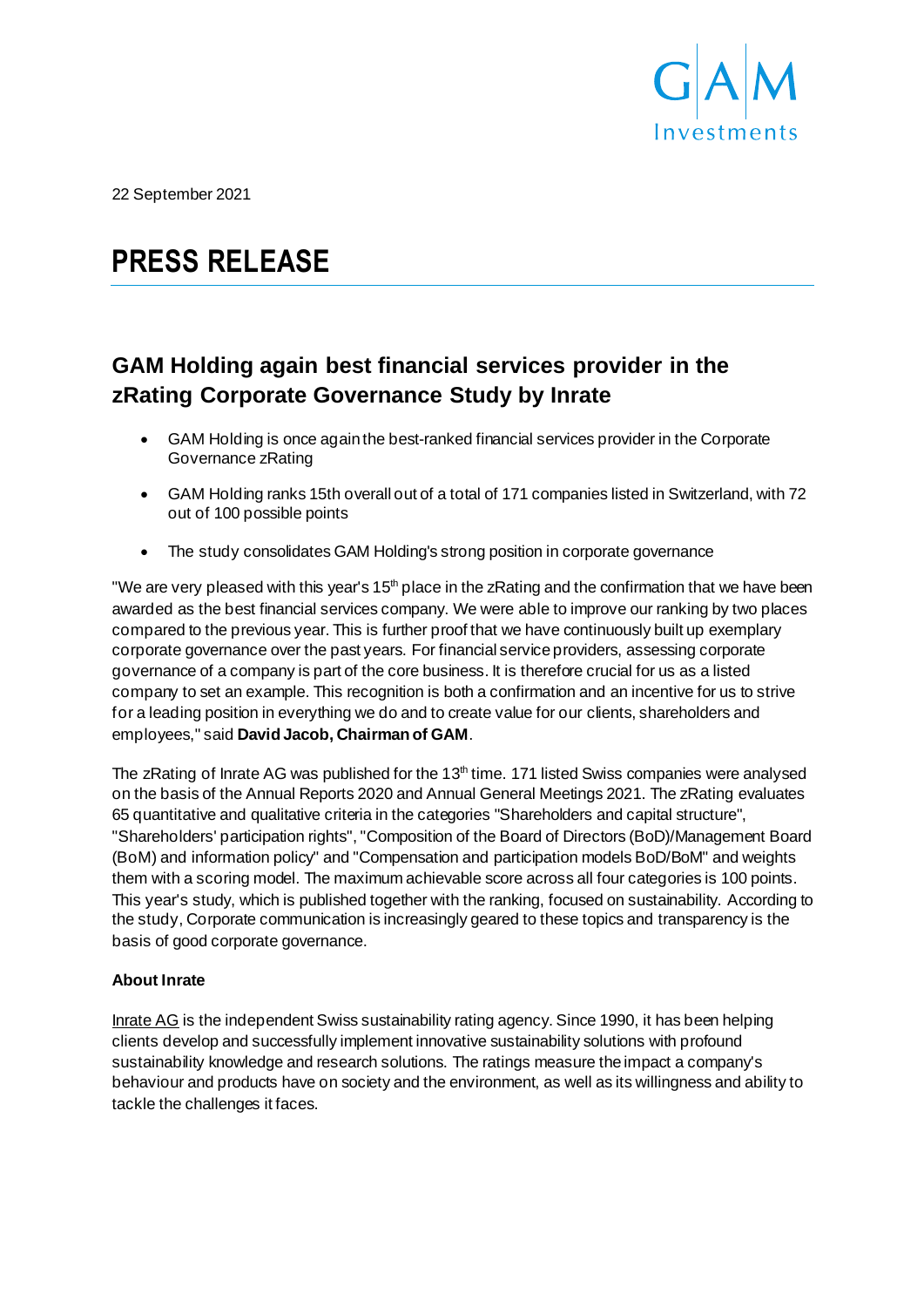

22 September 2021

# **PRESS RELEASE**

# **GAM Holding again best financial services provider in the zRating Corporate Governance Study by Inrate**

- GAM Holding is once again the best-ranked financial services provider in the Corporate Governance zRating
- GAM Holding ranks 15th overall out of a total of 171 companies listed in Switzerland, with 72 out of 100 possible points
- The study consolidates GAM Holding's strong position in corporate governance

"We are very pleased with this year's 15<sup>th</sup> place in the zRating and the confirmation that we have been awarded as the best financial services company. We were able to improve our ranking by two places compared to the previous year. This is further proof that we have continuously built up exemplary corporate governance over the past years. For financial service providers, assessing corporate governance of a company is part of the core business. It is therefore crucial for us as a listed company to set an example. This recognition is both a confirmation and an incentive for us to strive for a leading position in everything we do and to create value for our clients, shareholders and employees," said **David Jacob, Chairman of GAM**.

The zRating of Inrate AG was published for the  $13<sup>th</sup>$  time. 171 listed Swiss companies were analysed on the basis of the Annual Reports 2020 and Annual General Meetings 2021. The zRating evaluates 65 quantitative and qualitative criteria in the categories "Shareholders and capital structure", "Shareholders' participation rights", "Composition of the Board of Directors (BoD)/Management Board (BoM) and information policy" and "Compensation and participation models BoD/BoM" and weights them with a scoring model. The maximum achievable score across all four categories is 100 points. This year's study, which is published together with the ranking, focused on sustainability. According to the study, Corporate communication is increasingly geared to these topics and transparency is the basis of good corporate governance.

# **About Inrate**

[Inrate AG](https://www.inrate.com/en/f185000088.html) is the independent Swiss sustainability rating agency. Since 1990, it has been helping clients develop and successfully implement innovative sustainability solutions with profound sustainability knowledge and research solutions. The ratings measure the impact a company's behaviour and products have on society and the environment, as well as its willingness and ability to tackle the challenges it faces.